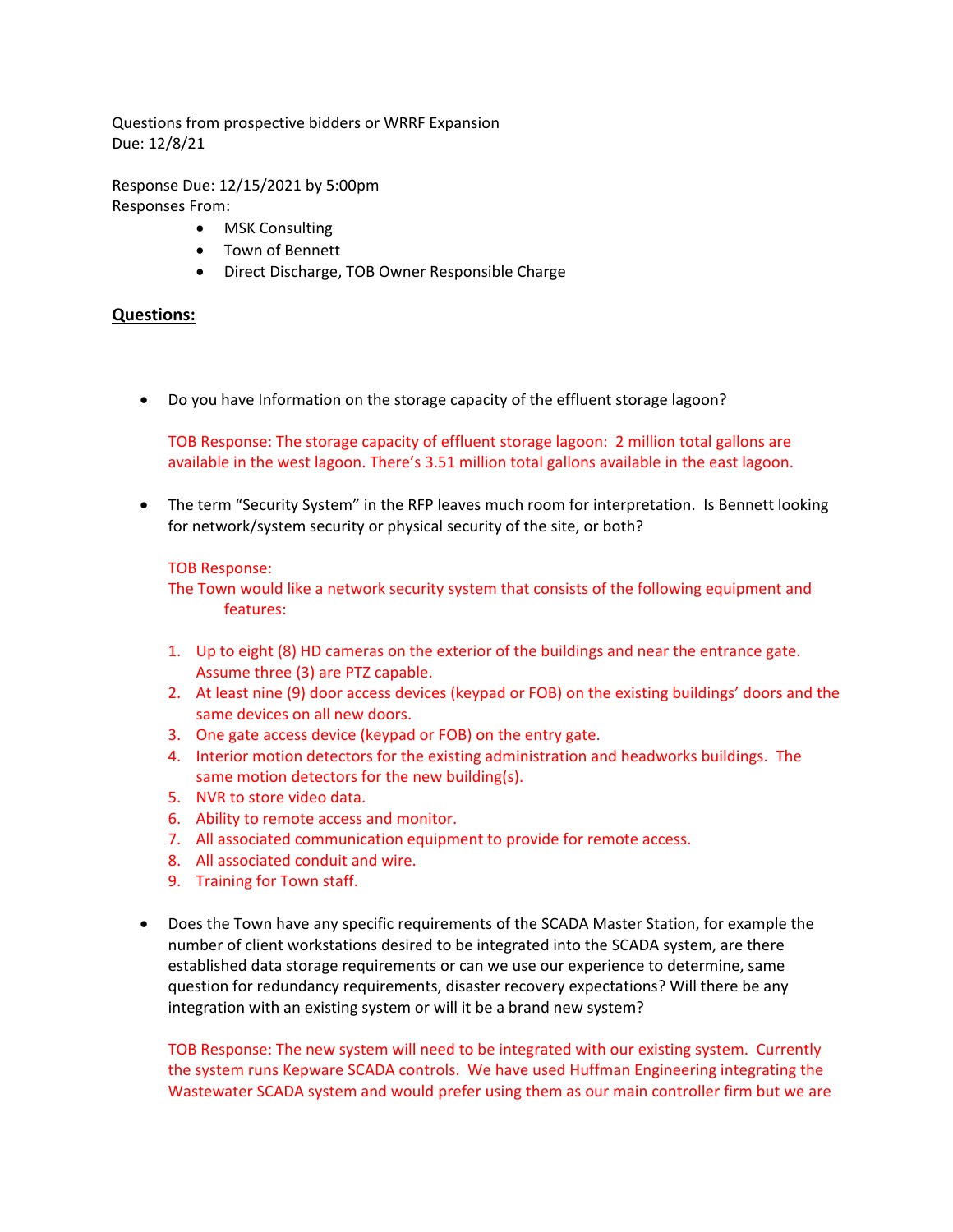Questions from prospective bidders or WRRF Expansion Due: 12/8/21

Response Due: 12/15/2021 by 5:00pm Responses From:

- MSK Consulting
- Town of Bennett
- Direct Discharge, TOB Owner Responsible Charge

## **Questions:**

Do you have Information on the storage capacity of the effluent storage lagoon?

TOB Response: The storage capacity of effluent storage lagoon: 2 million total gallons are available in the west lagoon. There's 3.51 million total gallons available in the east lagoon.

• The term "Security System" in the RFP leaves much room for interpretation. Is Bennett looking for network/system security or physical security of the site, or both?

## TOB Response:

The Town would like a network security system that consists of the following equipment and features:

- 1. Up to eight (8) HD cameras on the exterior of the buildings and near the entrance gate. Assume three (3) are PTZ capable.
- 2. At least nine (9) door access devices (keypad or FOB) on the existing buildings' doors and the same devices on all new doors.
- 3. One gate access device (keypad or FOB) on the entry gate.
- 4. Interior motion detectors for the existing administration and headworks buildings. The same motion detectors for the new building(s).
- 5. NVR to store video data.
- 6. Ability to remote access and monitor.
- 7. All associated communication equipment to provide for remote access.
- 8. All associated conduit and wire.
- 9. Training for Town staff.
- Does the Town have any specific requirements of the SCADA Master Station, for example the number of client workstations desired to be integrated into the SCADA system, are there established data storage requirements or can we use our experience to determine, same question for redundancy requirements, disaster recovery expectations? Will there be any integration with an existing system or will it be a brand new system?

TOB Response: The new system will need to be integrated with our existing system. Currently the system runs Kepware SCADA controls. We have used Huffman Engineering integrating the Wastewater SCADA system and would prefer using them as our main controller firm but we are